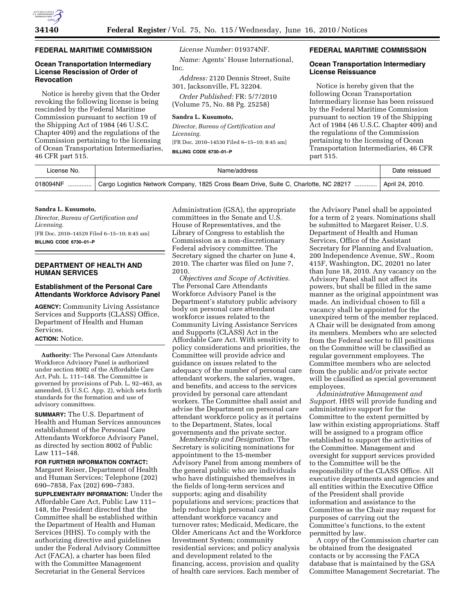

## **FEDERAL MARITIME COMMISSION**

## **Ocean Transportation Intermediary License Rescission of Order of Revocation**

Notice is hereby given that the Order revoking the following license is being rescinded by the Federal Maritime Commission pursuant to section 19 of the Shipping Act of 1984 (46 U.S.C. Chapter 409) and the regulations of the Commission pertaining to the licensing of Ocean Transportation Intermediaries, 46 CFR part 515.

*License Number:* 019374NF.

*Name:* Agents' House International, Inc.

*Address:* 2120 Dennis Street, Suite 301, Jacksonville, FL 32204.

*Order Published:* FR: 5/7/2010 (Volume 75, No. 88 Pg. 25258)

### **Sandra L. Kusumoto,**

*Director, Bureau of Certification and Licensing.*  [FR Doc. 2010–14530 Filed 6–15–10; 8:45 am] **BILLING CODE 6730–01–P** 

### **FEDERAL MARITIME COMMISSION**

#### **Ocean Transportation Intermediary License Reissuance**

Notice is hereby given that the following Ocean Transportation Intermediary license has been reissued by the Federal Maritime Commission pursuant to section 19 of the Shipping Act of 1984 (46 U.S.C. Chapter 409) and the regulations of the Commission pertaining to the licensing of Ocean Transportation Intermediaries, 46 CFR part 515.

| License No. | Name/address                                                                                                      | Date reissued |
|-------------|-------------------------------------------------------------------------------------------------------------------|---------------|
|             | 018094NF  Cargo Logistics Network Company, 1825 Cross Beam Drive, Suite C, Charlotte, NC 28217    April 24, 2010. |               |

### **Sandra L. Kusumoto,**

*Director, Bureau of Certification and Licensing.*  [FR Doc. 2010–14529 Filed 6–15–10; 8:45 am] **BILLING CODE 6730–01–P** 

## **DEPARTMENT OF HEALTH AND HUMAN SERVICES**

# **Establishment of the Personal Care Attendants Workforce Advisory Panel**

**AGENCY:** Community Living Assistance Services and Supports (CLASS) Office, Department of Health and Human Services.

## **ACTION:** Notice.

**Authority:** The Personal Care Attendants Workforce Advisory Panel is authorized under section 8002 of the Affordable Care Act, Pub. L. 111–148. The Committee is governed by provisions of Pub. L. 92–463, as amended, (5 U.S.C. App. 2), which sets forth standards for the formation and use of advisory committees.

**SUMMARY:** The U.S. Department of Health and Human Services announces establishment of the Personal Care Attendants Workforce Advisory Panel, as directed by section 8002 of Public Law 111–148.

**FOR FURTHER INFORMATION CONTACT:**  Margaret Reiser, Department of Health and Human Services; Telephone (202) 690–7858, Fax (202) 690–7383. **SUPPLEMENTARY INFORMATION:** Under the Affordable Care Act, Public Law 111– 148, the President directed that the Committee shall be established within the Department of Health and Human Services (HHS). To comply with the authorizing directive and guidelines under the Federal Advisory Committee Act (FACA), a charter has been filed with the Committee Management Secretariat in the General Services

Administration (GSA), the appropriate committees in the Senate and U.S. House of Representatives, and the Library of Congress to establish the Commission as a non-discretionary Federal advisory committee. The Secretary signed the charter on June 4, 2010. The charter was filed on June 7, 2010.

*Objectives and Scope of Activities.*  The Personal Care Attendants Workforce Advisory Panel is the Department's statutory public advisory body on personal care attendant workforce issues related to the Community Living Assistance Services and Supports (CLASS) Act in the Affordable Care Act. With sensitivity to policy considerations and priorities, the Committee will provide advice and guidance on issues related to the adequacy of the number of personal care attendant workers, the salaries, wages, and benefits, and access to the services provided by personal care attendant workers. The Committee shall assist and advise the Department on personal care attendant workforce policy as it pertains to the Department, States, local governments and the private sector.

*Membership and Designation.* The Secretary is soliciting nominations for appointment to the 15-member Advisory Panel from among members of the general public who are individuals who have distinguished themselves in the fields of long-term services and supports; aging and disability populations and services; practices that help reduce high personal care attendant workforce vacancy and turnover rates; Medicaid, Medicare, the Older Americans Act and the Workforce Investment System; community residential services; and policy analysis and development related to the financing, access, provision and quality of health care services. Each member of

the Advisory Panel shall be appointed for a term of 2 years. Nominations shall be submitted to Margaret Reiser, U.S. Department of Health and Human Services, Office of the Assistant Secretary for Planning and Evaluation, 200 Independence Avenue, SW., Room 415F, Washington, DC, 20201 no later than June 18, 2010. Any vacancy on the Advisory Panel shall not affect its powers, but shall be filled in the same manner as the original appointment was made. An individual chosen to fill a vacancy shall be appointed for the unexpired term of the member replaced. A Chair will be designated from among its members. Members who are selected from the Federal sector to fill positions on the Committee will be classified as regular government employees. The Committee members who are selected from the public and/or private sector will be classified as special government employees.

*Administrative Management and Support.* HHS will provide funding and administrative support for the Committee to the extent permitted by law within existing appropriations. Staff will be assigned to a program office established to support the activities of the Committee. Management and oversight for support services provided to the Committee will be the responsibility of the CLASS Office. All executive departments and agencies and all entities within the Executive Office of the President shall provide information and assistance to the Committee as the Chair may request for purposes of carrying out the Committee's functions, to the extent permitted by law.

A copy of the Commission charter can be obtained from the designated contacts or by accessing the FACA database that is maintained by the GSA Committee Management Secretariat. The